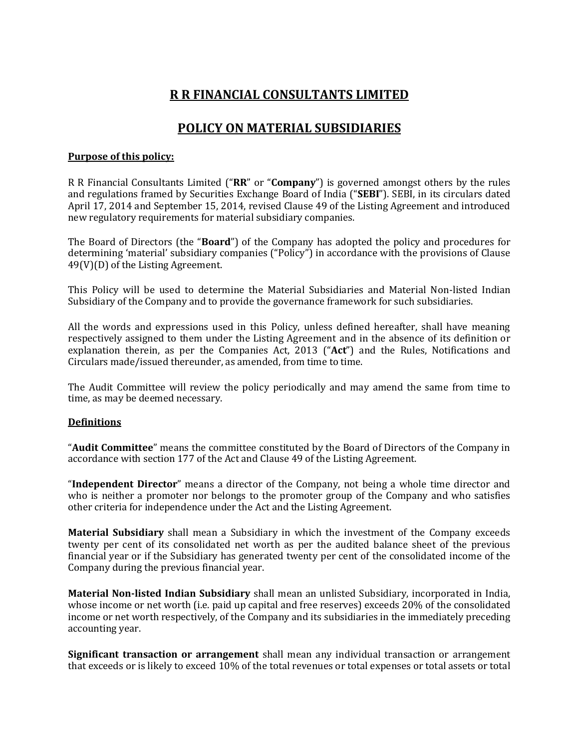# **R R FINANCIAL CONSULTANTS LIMITED**

# **POLICY ON MATERIAL SUBSIDIARIES**

## **Purpose of this policy:**

R R Financial Consultants Limited ("**RR**" or "**Company**") is governed amongst others by the rules and regulations framed by Securities Exchange Board of India ("**SEBI**"). SEBI, in its circulars dated April 17, 2014 and September 15, 2014, revised Clause 49 of the Listing Agreement and introduced new regulatory requirements for material subsidiary companies.

The Board of Directors (the "**Board**") of the Company has adopted the policy and procedures for determining 'material' subsidiary companies ("Policy") in accordance with the provisions of Clause 49(V)(D) of the Listing Agreement.

This Policy will be used to determine the Material Subsidiaries and Material Non-listed Indian Subsidiary of the Company and to provide the governance framework for such subsidiaries.

All the words and expressions used in this Policy, unless defined hereafter, shall have meaning respectively assigned to them under the Listing Agreement and in the absence of its definition or explanation therein, as per the Companies Act, 2013 ("**Act**") and the Rules, Notifications and Circulars made/issued thereunder, as amended, from time to time.

The Audit Committee will review the policy periodically and may amend the same from time to time, as may be deemed necessary.

#### **Definitions**

"**Audit Committee**" means the committee constituted by the Board of Directors of the Company in accordance with section 177 of the Act and Clause 49 of the Listing Agreement.

"**Independent Director**" means a director of the Company, not being a whole time director and who is neither a promoter nor belongs to the promoter group of the Company and who satisfies other criteria for independence under the Act and the Listing Agreement.

**Material Subsidiary** shall mean a Subsidiary in which the investment of the Company exceeds twenty per cent of its consolidated net worth as per the audited balance sheet of the previous financial year or if the Subsidiary has generated twenty per cent of the consolidated income of the Company during the previous financial year.

**Material Non-listed Indian Subsidiary** shall mean an unlisted Subsidiary, incorporated in India, whose income or net worth (i.e. paid up capital and free reserves) exceeds 20% of the consolidated income or net worth respectively, of the Company and its subsidiaries in the immediately preceding accounting year.

**Significant transaction or arrangement** shall mean any individual transaction or arrangement that exceeds or is likely to exceed 10% of the total revenues or total expenses or total assets or total